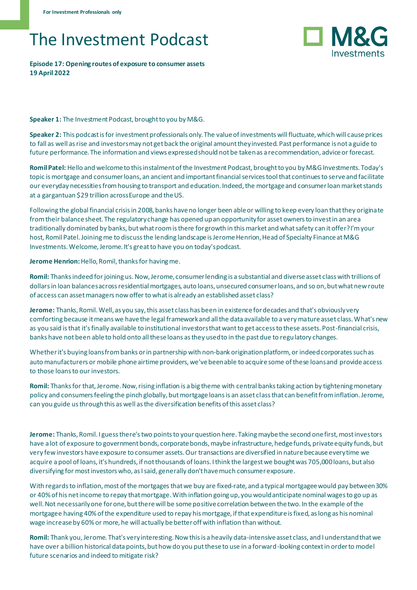## The Investment Podcast

## **Episode 17: Opening routes of exposure to consumer assets 19 April 2022**



**Speaker 1:** The Investment Podcast, brought to you by M&G.

**Speaker 2:** This podcast is for investment professionals only. The value of investments will fluctuate, which will cause prices to fall as well as rise and investors may not get back the original amount they invested. Past performance is not a guide to future performance. The information and views expressed should not be taken as a recommendation, advice or forecast.

**Romil Patel:** Hello and welcome to this instalment of the Investment Podcast, brought to you by M&G Investments. Today's topic is mortgage and consumer loans, an ancient and important financial services tool that continues to serve and facilitate our everyday necessities from housing to transport and education. Indeed, the mortgage and consumer loan market stands at a gargantuan \$29 trillion across Europe and the US.

Following the global financial crisis in 2008, banks have no longer been able or willing to keep every loan that they originate fromtheir balance sheet. The regulatory change has opened up an opportunity for asset owners to invest in an area traditionally dominated by banks, but what room is there for growth in this market and what safety can it offer? I'm your host, Romil Patel. Joining me to discuss the lending landscape is Jerome Henrion, Head of Specialty Finance at M&G Investments. Welcome, Jerome. It's great to have you on today's podcast.

**Jerome Henrion:** Hello, Romil, thanks for having me.

**Romil:** Thanks indeed for joining us. Now, Jerome, consumer lending is a substantial and diverse asset class with trillions of dollars in loan balances across residential mortgages, auto loans, unsecured consumer loans, and so on, but what new route of access can asset managers now offer to what is already an established asset class?

**Jerome:** Thanks, Romil. Well, as you say, this asset class has been in existence for decades and that's obviously very comforting because it means we have the legal framework and all the data available to a very mature asset class. What's new as you said is that it's finally available to institutional investors that want to get access to these assets. Post-financial crisis, banks have not been able to hold onto all these loans as they used to in the past due to regulatory changes.

Whether it's buying loans from banks or in partnership with non-bank origination platform, or indeed corporates such as auto manufacturers or mobile phone airtime providers, we've been able to acquire some of these loans and provide access to those loans to our investors.

**Romil:** Thanks for that, Jerome. Now, rising inflation is a big theme with central banks taking action by tightening monetary policy and consumers feeling the pinch globally, but mortgage loans is an asset class that can benefit from inflation. Jerome, can you guide us through this as well as the diversification benefits of this asset class?

**Jerome:** Thanks, Romil. I guess there's two points to your question here. Taking maybe the second one first, most investors have a lot of exposure to government bonds, corporate bonds, maybe infrastructure, hedge funds, private equity funds, but very few investors have exposure to consumer assets. Our transactions are diversified in nature because every time we acquire a pool of loans, it's hundreds, if not thousands of loans. I think the largest we bought was 705,000 loans, but also diversifying for most investors who, as I said, generally don't have much consumer exposure.

With regards to inflation, most of the mortgages that we buy are fixed-rate, and a typical mortgagee would pay between 30% or 40% of his net income to repay that mortgage. With inflation going up, you would anticipate nominal wages to go up as well. Not necessarily one for one, but there will be some positive correlation between the two. In the example of the mortgagee having 40% of the expenditure used to repay his mortgage, if that expenditure is fixed, as long as his nominal wage increase by 60% or more, he will actually be better off with inflation than without.

**Romil:** Thank you, Jerome. That's very interesting. Now this is a heavily data-intensive asset class, and I understand that we have over a billion historical data points, but how do you put these to use in a forward-looking context in order to model future scenarios and indeed to mitigate risk?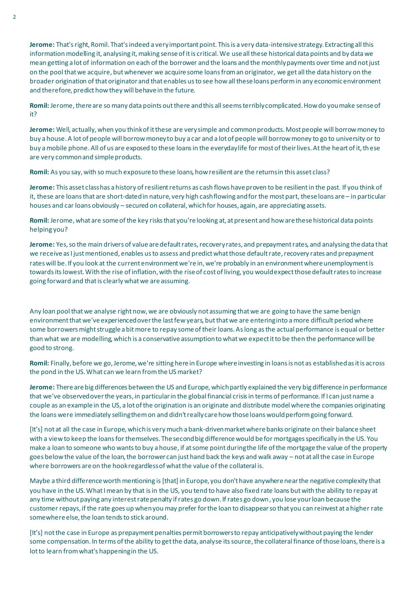**Jerome:** That's right, Romil. That's indeed a very important point. This is a very data-intensive strategy. Extracting all this information modelling it, analysing it, making sense of it is critical. We use all these historical data points and by data we mean getting a lot of information on each of the borrower and the loans and the monthly payments over time and not just on the pool that we acquire, but whenever we acquire some loans from an originator, we get all the data history on the broader origination of that originator and that enables us to see how all these loans perform in any economic environment and therefore, predict how they will behave in the future.

**Romil:** Jerome, there are so many data points out there and this all seems terribly complicated. How do you make sense of it?

**Jerome:** Well, actually, when you think of it these are very simple and common products. Most people will borrow money to buy a house. A lot of people will borrow money to buy a car and a lot of people will borrow money to go to university or to buy a mobile phone. All of us are exposed to these loans in the everyday life for most of their lives. At the heart of it, these are very common and simple products.

Romil: As you say, with so much exposure to these loans, how resilient are the returns in this asset class?

**Jerome:** This asset class has a history of resilient returns as cash flows have proven to be resilient in the past. If you think of it, these are loans that are short-dated in nature, very high cash flowing and for the most part, these loans are – in particular houses and car loans obviously – secured on collateral, which for houses, again, are appreciating assets.

**Romil:** Jerome, what are some of the key risks that you're looking at, at present and how are these historical data points helping you?

**Jerome:** Yes, so the main drivers of value are default rates, recovery rates, and prepayment rates, and analysing the data that we receive as I just mentioned, enables us to assess and predict what those default rate, recovery rates and prepayment rates will be. If you look at the current environment we're in, we're probably in an environment where unemployment is towards its lowest. With the rise of inflation, with the rise of cost of living, you would expect those default rates to increase going forward and that is clearly what we are assuming.

Any loan pool that we analyse right now, we are obviously not assuming that we are going to have the same benign environment that we've experienced over the last few years, but that we are entering into a more difficult period where some borrowers might struggle a bit more to repay some of their loans. As long as the actual performance is equal or better than what we are modelling, which is a conservative assumption to what we expect it to be then the performance will be good to strong.

**Romil:** Finally, before we go, Jerome, we're sitting here in Europe where investing in loans is not as established as it is across the pond in the US. What can we learn from the US market?

**Jerome:** There are big differences between the US and Europe, which partly explained the very big difference in performance that we've observed over the years, in particular in the global financial crisis in terms of performance. If I can just name a couple as an example in the US, a lot of the origination is an originate and distribute model where the companies originating the loans were immediately selling them on and didn't really care how those loans would perform going forward.

[It's] not at all the case in Europe, which is very much a bank-driven market where banks originate on their balance sheet with a view to keep the loans for themselves. The second big difference would be for mortgages specifically in the US. You make a loan to someone who wants to buy a house, if at some point during the life of the mortgage the value of the property goes below the value of the loan, the borrower can just hand back the keys and walk away – not at all the case in Europe where borrowers are on the hook regardless of what the value of the collateral is.

Maybe a third difference worth mentioning is [that] in Europe, you don't have anywhere near the negative complexity that you have in the US. What I mean by that is in the US, you tend to have also fixed rate loans but with the ability to repay at any time without paying any interest rate penalty if rates go down. If rates go down, you lose your loan because the customer repays, if the rate goes up when you may prefer for the loan to disappear so that you can reinvest at a higher rate somewhere else, the loan tends to stick around.

[It's] not the case in Europe as prepayment penalties permit borrowers to repay anticipatively without paying the lender some compensation. In terms of the ability to get the data, analyse its source, the collateral finance of those loans, there is a lot to learn from what's happening in the US.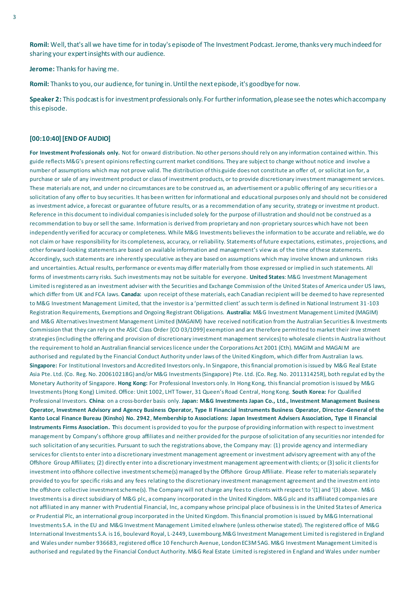**Romil:** Well, that's all we have time for in today's episode of The Investment Podcast. Jerome, thanks very much indeed for sharing your expert insights with our audience.

**Jerome:** Thanks for having me.

**Romil:** Thanks to you, our audience, for tuning in. Until the next episode, it's goodbye for now.

**Speaker 2:** This podcast is for investment professionals only. For further information, please see the notes which accompany this episode.

## **[00:10:40] [END OF AUDIO]**

**For Investment Professionals only.** Not for onward distribution. No other persons should rely on any information contained within. This guide reflects M&G's present opinions reflecting current market conditions. They are subject to change without notice and involve a number of assumptions which may not prove valid. The distribution of this guide does not constitute an offer of, or solicitat ion for, a purchase or sale of any investment product or class of investment products, or to provide discretionary investment management services. These materials are not, and under no circumstances are to be construed as, an advertisement or a public offering of any secu rities or a solicitation of any offer to buy securities. It has been written for informational and educational purposes only and should not be considered as investment advice, a forecast or guarantee of future results, or as a recommendation of any security, strategy or investme nt product. Reference in this document to individual companies is included solely for the purpose of illustration and should not be construed as a recommendation to buy or sell the same. Information is derived from proprietary and non -proprietary sources which have not been independently verified for accuracy or completeness. While M&G Investments believes the information to be accurate and reliable, we do not claim or have responsibility for its completeness, accuracy, or reliability. Statements of future expectations, estimates, projections, and other forward-looking statements are based on available information and management's view as of the time of these statements. Accordingly, such statements are inherently speculative as they are based on assumptions which may involve known and unknown risks and uncertainties. Actual results, performance or events may differ materially from those expressed or implied in such statements. All forms of investments carry risks. Such investments may not be suitable for everyone. **United States**: M&G Investment Management Limited is registered as an investment adviser with the Securities and Exchange Commission of the United States of America under US laws, which differ from UK and FCA laws. **Canada:** upon receipt of these materials, each Canadian recipient will be deemed to have represented to M&G Investment Management Limited, that the investor is a 'permitted client' as such term is defined in National Instrument 31 -103 Registration Requirements, Exemptions and Ongoing Registrant Obligations. **Australia:** M&G Investment Management Limited (MAGIM) and M&G Alternatives Investment Management Limited (MAGAIM) have received notification from the Australian Securities & Investments Commission that they can rely on the ASIC Class Order [CO 03/1099] exemption and are therefore permitted to market their inve stment strategies (including the offering and provision of discretionary investment management services) to wholesale clients in Austra lia without the requirement to hold an Australian financial services licence under the Corporations Act 2001 (Cth). MAGIM and MAGAI M are authorised and regulated by the Financial Conduct Authority under laws of the United Kingdom, which differ from Australian laws. **Singapore:** For Institutional Investors and Accredited Investors only**.** In Singapore, this financial promotion is issued by M&G Real Estate Asia Pte. Ltd. (Co. Reg. No. 200610218G) and/or M&G Investments (Singapore) Pte. Ltd. (Co. Reg. No. 201131425R), both regulat ed by the Monetary Authority of Singapore. **Hong Kong:** For Professional Investors only. In Hong Kong, this financial promotion is issued by M&G Investments (Hong Kong) Limited. Office: Unit 1002, LHT Tower, 31 Queen's Road Central, Hong Kong. **South Korea:** For Qualified Professional Investors. **China**: on a cross-border basis only. **Japan: M&G Investments Japan Co., Ltd., Investment Management Business Operator, Investment Advisory and Agency Business Operator, Type II Financial Instruments Business Operator, Director-General of the Kanto Local Finance Bureau (Kinsho) No. 2942**, **Membership to Associations: Japan Investment Advisers Association, Type II Financial Instruments Firms Association. T**his document is provided to you for the purpose of providing information with respect to investment management by Company's offshore group affiliates and neither provided for the purpose of solicitation of any securities nor intended for such solicitation of any securities. Pursuant to such the registrations above, the Company may: (1) provide agency and intermediary services for clients to enter into a discretionary investment management agreement or investment advisory agreement with any of the Offshore Group Affiliates; (2) directly enter into a discretionary investment management agreement with clients; or (3) solic it clients for investment into offshore collective investment scheme(s) managed by the Offshore Group Affiliate. Please refer to materials separately provided to you for specific risks and any fees relating to the discretionary investment management agreement and the investm ent into the offshore collective investment scheme(s). The Company will not charge any fees to clients with respect to '(1) and '(3) above. M&G Investments is a direct subsidiary of M&G plc, a company incorporated in the United Kingdom. M&G plc and its affiliated companies are not affiliated in any manner with Prudential Financial, Inc, a company whose principal place of business is in the United Sta tes of America or Prudential Plc, an international group incorporated in the United Kingdom. This financial promotion is issued by M&G International Investments S.A. in the EU and M&G Investment Management Limited elswhere (unless otherwise stated). The registered office of M&G International Investments S.A. is 16, boulevard Royal, L-2449, Luxembourg.M&G Investment Management Limited is registered in England and Wales under number 936683, registered office 10 Fenchurch Avenue, London EC3M 5AG. M&G Investment Management Limited is authorised and regulated by the Financial Conduct Authority. M&G Real Estate Limited is registered in England and Wales under number